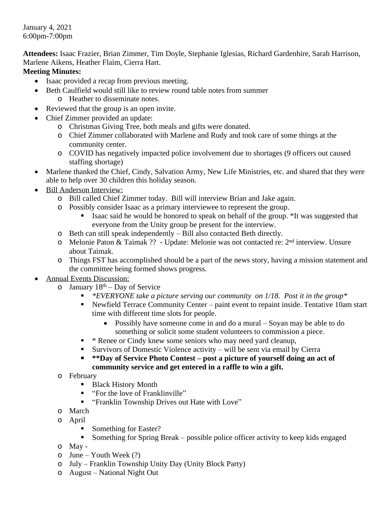January 4, 2021 6:00pm-7:00pm

**Attendees:** Isaac Frazier, Brian Zimmer, Tim Doyle, Stephanie Iglesias, Richard Gardenhire, Sarah Harrison, Marlene Aikens, Heather Flaim, Cierra Hart.

## **Meeting Minutes:**

- Isaac provided a recap from previous meeting.
- Beth Caulfield would still like to review round table notes from summer
	- o Heather to disseminate notes.
- Reviewed that the group is an open invite.
- Chief Zimmer provided an update:
	- o Christmas Giving Tree, both meals and gifts were donated.
	- o Chief Zimmer collaborated with Marlene and Rudy and took care of some things at the community center.
	- o COVID has negatively impacted police involvement due to shortages (9 officers out caused staffing shortage)
- Marlene thanked the Chief, Cindy, Salvation Army, New Life Ministries, etc. and shared that they were able to help over 30 children this holiday season.
- Bill Anderson Interview:
	- o Bill called Chief Zimmer today. Bill will interview Brian and Jake again.
	- o Possibly consider Isaac as a primary interviewee to represent the group.
		- Isaac said he would be honored to speak on behalf of the group. \*It was suggested that everyone from the Unity group be present for the interview.
	- o Beth can still speak independently Bill also contacted Beth directly.
	- o Melonie Paton & Taimak ?? Update: Melonie was not contacted re: 2nd interview. Unsure about Taimak.
	- o Things FST has accomplished should be a part of the news story, having a mission statement and the committee being formed shows progress.
- Annual Events Discussion:
	- $\circ$  January 18<sup>th</sup> Day of Service
		- *\*EVERYONE take a picture serving our community on 1/18. Post it in the group\**
		- Newfield Terrace Community Center paint event to repaint inside. Tentative 10am start time with different time slots for people.
			- Possibly have someone come in and do a mural Soyan may be able to do something or solicit some student volunteers to commission a piece.
		- \* Renee or Cindy knew some seniors who may need yard cleanup,
		- Survivors of Domestic Violence activity will be sent via email by Cierra
		- **\*\*Day of Service Photo Contest post a picture of yourself doing an act of community service and get entered in a raffle to win a gift.**
	- o February
		- Black History Month
		- "For the love of Franklinville"
		- **Franklin Township Drives out Hate with Love"**
	- o March
	- o April
		- Something for Easter?
		- Something for Spring Break possible police officer activity to keep kids engaged
	- o May -
	- $\circ$  June Youth Week (?)
	- o July Franklin Township Unity Day (Unity Block Party)
	- o August National Night Out